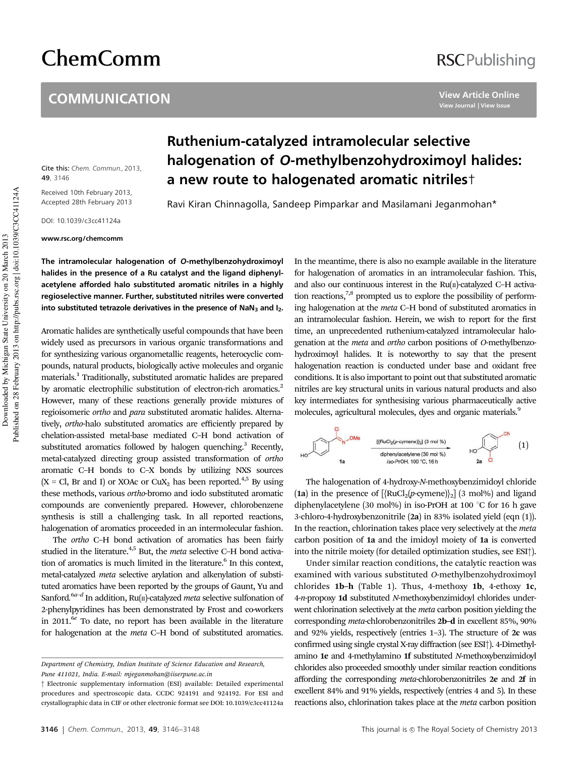# ChemComm

#### **COMMUNICATION**

### **RSCPublishing**

**View Article Online View Journal | View Issue**

Cite this: Chem. Commun., 2013, **49**, 3146

Received 10th February 2013, Accepted 28th February 2013

DOI: 10.1039/c3cc41124a

www.rsc.org/chemcomm

## Ruthenium-catalyzed intramolecular selective halogenation of O-methylbenzohydroximoyl halides: a new route to halogenated aromatic nitriles†

Ravi Kiran Chinnagolla, Sandeep Pimparkar and Masilamani Jeganmohan\*

The intramolecular halogenation of O-methylbenzohydroximoyl halides in the presence of a Ru catalyst and the ligand diphenylacetylene afforded halo substituted aromatic nitriles in a highly regioselective manner. Further, substituted nitriles were converted into substituted tetrazole derivatives in the presence of  $NaN<sub>3</sub>$  and  $I<sub>2</sub>$ .

Aromatic halides are synthetically useful compounds that have been widely used as precursors in various organic transformations and for synthesizing various organometallic reagents, heterocyclic compounds, natural products, biologically active molecules and organic materials.<sup>1</sup> Traditionally, substituted aromatic halides are prepared by aromatic electrophilic substitution of electron-rich aromatics.<sup>2</sup> However, many of these reactions generally provide mixtures of regioisomeric *ortho* and *para* substituted aromatic halides. Alternatively, *ortho*-halo substituted aromatics are efficiently prepared by chelation-assisted metal-base mediated C–H bond activation of substituted aromatics followed by halogen quenching.<sup>3</sup> Recently, metal-catalyzed directing group assisted transformation of *ortho* aromatic C–H bonds to C–X bonds by utilizing NXS sources  $(X = Cl, Br and I)$  or XOAc or  $CuX<sub>2</sub>$  has been reported.<sup>4,5</sup> By using these methods, various *ortho*-bromo and iodo substituted aromatic compounds are conveniently prepared. However, chlorobenzene synthesis is still a challenging task. In all reported reactions, halogenation of aromatics proceeded in an intermolecular fashion.

The *ortho* C–H bond activation of aromatics has been fairly studied in the literature.4,5 But, the *meta* selective C–H bond activation of aromatics is much limited in the literature.<sup>6</sup> In this context, metal-catalyzed *meta* selective arylation and alkenylation of substituted aromatics have been reported by the groups of Gaunt, Yu and Sanford*.* 6*a*–*d* In addition, Ru(II)-catalyzed *meta* selective sulfonation of 2-phenylpyridines has been demonstrated by Frost and co-workers in 2011.<sup>6*e*</sup> To date, no report has been available in the literature for halogenation at the *meta* C–H bond of substituted aromatics.

In the meantime, there is also no example available in the literature for halogenation of aromatics in an intramolecular fashion. This, and also our continuous interest in the  $Ru(n)$ -catalyzed C-H activation reactions, $7,8$  prompted us to explore the possibility of performing halogenation at the *meta* C–H bond of substituted aromatics in an intramolecular fashion. Herein, we wish to report for the first time, an unprecedented ruthenium-catalyzed intramolecular halogenation at the *meta* and *ortho* carbon positions of *O*-methylbenzohydroximoyl halides. It is noteworthy to say that the present halogenation reaction is conducted under base and oxidant free conditions. It is also important to point out that substituted aromatic nitriles are key structural units in various natural products and also key intermediates for synthesising various pharmaceutically active molecules, agricultural molecules, dyes and organic materials.<sup>9</sup>



The halogenation of 4-hydroxy-*N*-methoxybenzimidoyl chloride (1a) in the presence of  $[\{RuCl_2(p\text{-symene})\}_2]$  (3 mol%) and ligand diphenylacetylene (30 mol%) in iso-PrOH at 100  $^{\circ}$ C for 16 h gave 3-chloro-4-hydroxybenzonitrile (2a) in 83% isolated yield (eqn (1)). In the reaction, chlorination takes place very selectively at the *meta* carbon position of 1a and the imidoyl moiety of 1a is converted into the nitrile moiety (for detailed optimization studies, see ESI†).

Under similar reaction conditions, the catalytic reaction was examined with various substituted *O*-methylbenzohydroximoyl chlorides 1b–h (Table 1). Thus, 4-methoxy 1b, 4-ethoxy 1c, 4-*n*-propoxy 1d substituted *N*-methoxybenzimidoyl chlorides underwent chlorination selectively at the *meta* carbon position yielding the corresponding *meta*-chlorobenzonitriles 2b–d in excellent 85%, 90% and 92% yields, respectively (entries 1–3). The structure of 2c was confirmed using single crystal X-ray diffraction (see ESI†). 4-Dimethylamino 1e and 4-methylamino 1f substituted *N*-methoxybenzimidoyl chlorides also proceeded smoothly under similar reaction conditions affording the corresponding *meta*-chlorobenzonitriles 2e and 2f in excellent 84% and 91% yields, respectively (entries 4 and 5). In these reactions also, chlorination takes place at the *meta* carbon position

*Department of Chemistry, Indian Institute of Science Education and Research, Pune 411021, India. E-mail: mjeganmohan@iiserpune.ac.in*

<sup>†</sup> Electronic supplementary information (ESI) available: Detailed experimental procedures and spectroscopic data. CCDC 924191 and 924192. For ESI and crystallographic data in CIF or other electronic format see DOI: 10.1039/c3cc41124a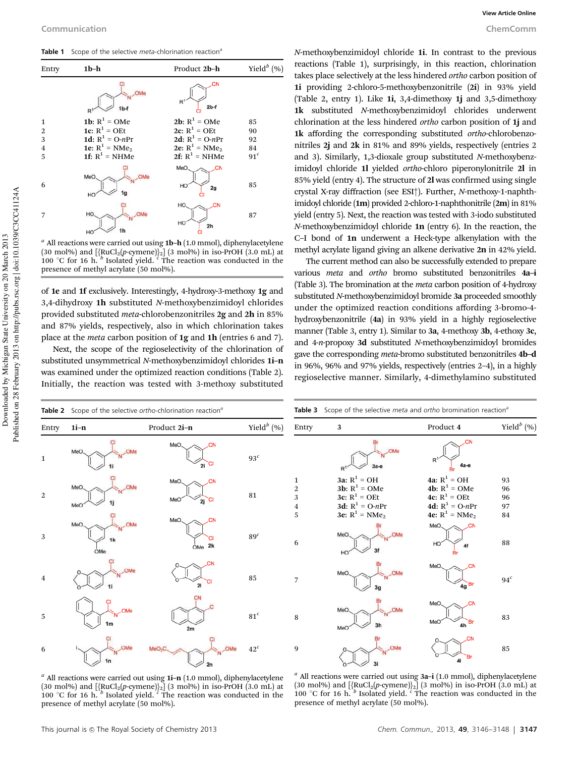Table 1 Scope of the selective *meta*-chlorination reaction<sup>6</sup>



*a* All reactions were carried out using 1b–h (1.0 mmol), diphenylacetylene (30 mol%) and [{RuCl<sub>2</sub>(*p*-cymene)}<sub>2</sub>] (3 mol%) in iso-PrOH (3.0 mL) at 100 °C for 16 h. <sup>*b*</sup> Isolated yield. <sup>*c*</sup> The reaction was conducted in the presence of methyl acrylate (50 mol%).

of 1e and 1f exclusively. Interestingly, 4-hydroxy-3-methoxy 1g and 3,4-dihydroxy 1h substituted *N*-methoxybenzimidoyl chlorides provided substituted *meta*-chlorobenzonitriles 2g and 2h in 85% and 87% yields, respectively, also in which chlorination takes place at the *meta* carbon position of 1g and 1h (entries 6 and 7).

Next, the scope of the regioselectivity of the chlorination of substituted unsymmetrical *N*-methoxybenzimidoyl chlorides 1i–n was examined under the optimized reaction conditions (Table 2). Initially, the reaction was tested with 3-methoxy substituted

*N*-methoxybenzimidoyl chloride 1i. In contrast to the previous reactions (Table 1), surprisingly, in this reaction, chlorination takes place selectively at the less hindered *ortho* carbon position of 1i providing 2-chloro-5-methoxybenzonitrile (2i) in 93% yield (Table 2, entry 1). Like 1i, 3,4-dimethoxy 1j and 3,5-dimethoxy 1k substituted *N*-methoxybenzimidoyl chlorides underwent chlorination at the less hindered *ortho* carbon position of 1j and 1k affording the corresponding substituted *ortho*-chlorobenzonitriles 2j and 2k in 81% and 89% yields, respectively (entries 2 and 3). Similarly, 1,3-dioxale group substituted *N*-methoxybenzimidoyl chloride 1l yielded *ortho*-chloro piperonylonitrile 2l in 85% yield (entry 4). The structure of 2l was confirmed using single crystal X-ray diffraction (see ESI†). Further, *N*-methoxy-1-naphthimidoyl chloride (1m) provided 2-chloro-1-naphthonitrile (2m) in 81% yield (entry 5). Next, the reaction was tested with 3-iodo substituted *N*-methoxybenzimidoyl chloride 1n (entry 6). In the reaction, the C–I bond of 1n underwent a Heck-type alkenylation with the methyl acrylate ligand giving an alkene derivative 2n in 42% yield.

The current method can also be successfully extended to prepare various *meta* and *ortho* bromo substituted benzonitriles 4a–i (Table 3). The bromination at the *meta* carbon position of 4-hydroxy substituted *N*-methoxybenzimidoyl bromide 3a proceeded smoothly under the optimized reaction conditions affording 3-bromo-4 hydroxybenzonitrile (4a) in 93% yield in a highly regioselective manner (Table 3, entry 1). Similar to 3a, 4-methoxy 3b, 4-ethoxy 3c, and 4-*n*-propoxy 3d substituted *N*-methoxybenzimidoyl bromides gave the corresponding *meta*-bromo substituted benzonitriles 4b–d in 96%, 96% and 97% yields, respectively (entries 2–4), in a highly regioselective manner. Similarly, 4-dimethylamino substituted





*a* All reactions were carried out using 1i–n (1.0 mmol), diphenylacetylene (30 mol%) and [{RuCl<sub>2</sub>(p-cymene)}<sub>2</sub>] (3 mol%) in iso-PrOH (3.0 mL) at 100 °C for 16 h. <sup>b</sup> Isolated yield. <sup>*c*</sup> The reaction was conducted in the presence of methyl acrylate (50 mol%).

*a* All reactions were carried out using 3a–i (1.0 mmol), diphenylacetylene (30 mol%) and  $[\{RuCl_2(p\text{-symene})\}_2]$  (3 mol%) in iso-PrOH (3.0 mL) at 100 °C for 16 h.  $\frac{b}{p}$  isolated yield.  $\frac{c}{p}$  The reaction was conducted in the presence of methyl acrylate (50 mol%).